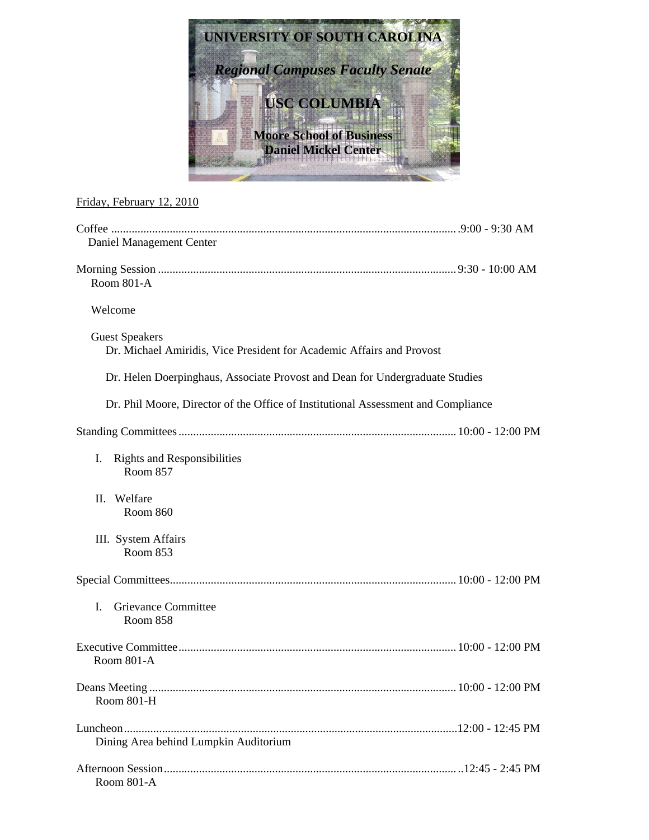

## Friday, February 12, 2010

| Daniel Management Center                                                                       |  |
|------------------------------------------------------------------------------------------------|--|
| <b>Room 801-A</b>                                                                              |  |
| Welcome                                                                                        |  |
| <b>Guest Speakers</b><br>Dr. Michael Amiridis, Vice President for Academic Affairs and Provost |  |
| Dr. Helen Doerpinghaus, Associate Provost and Dean for Undergraduate Studies                   |  |
| Dr. Phil Moore, Director of the Office of Institutional Assessment and Compliance              |  |
|                                                                                                |  |
| I.<br><b>Rights and Responsibilities</b><br>Room 857                                           |  |
| Welfare<br>Н.<br>Room 860                                                                      |  |
| III. System Affairs<br><b>Room 853</b>                                                         |  |
|                                                                                                |  |
| Grievance Committee<br>L<br>Room 858                                                           |  |
| Room 801-A                                                                                     |  |
| Room 801-H                                                                                     |  |
| Dining Area behind Lumpkin Auditorium                                                          |  |
| Room 801-A                                                                                     |  |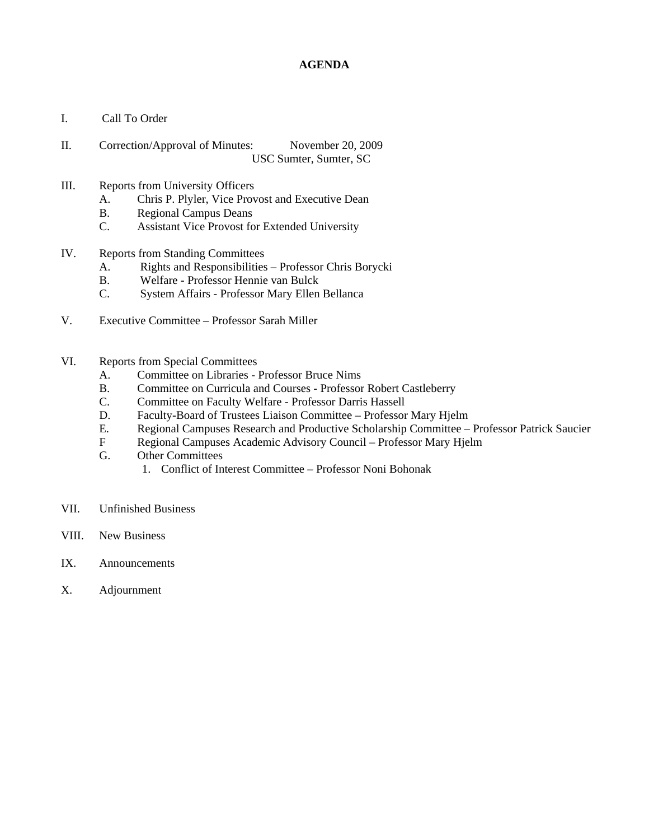## **AGENDA**

- I. Call To Order
- II. Correction/Approval of Minutes: November 20, 2009 USC Sumter, Sumter, SC
- III. Reports from University Officers
	- A. Chris P. Plyler, Vice Provost and Executive Dean
	- B. Regional Campus Deans
	- C. Assistant Vice Provost for Extended University
- IV. Reports from Standing Committees
	- A. Rights and Responsibilities Professor Chris Borycki
	- B. Welfare Professor Hennie van Bulck<br>C. System Affairs Professor Mary Ellen
	- System Affairs Professor Mary Ellen Bellanca
- V. Executive Committee Professor Sarah Miller
- VI. Reports from Special Committees
	- A. Committee on Libraries Professor Bruce Nims
	- B. Committee on Curricula and Courses Professor Robert Castleberry
	- C. Committee on Faculty Welfare Professor Darris Hassell
	- D. Faculty-Board of Trustees Liaison Committee Professor Mary Hjelm
	- E. Regional Campuses Research and Productive Scholarship Committee Professor Patrick Saucier
	- F Regional Campuses Academic Advisory Council Professor Mary Hjelm
	- G. Other Committees
		- 1. Conflict of Interest Committee Professor Noni Bohonak
- VII. Unfinished Business
- VIII. New Business
- IX. Announcements
- X. Adjournment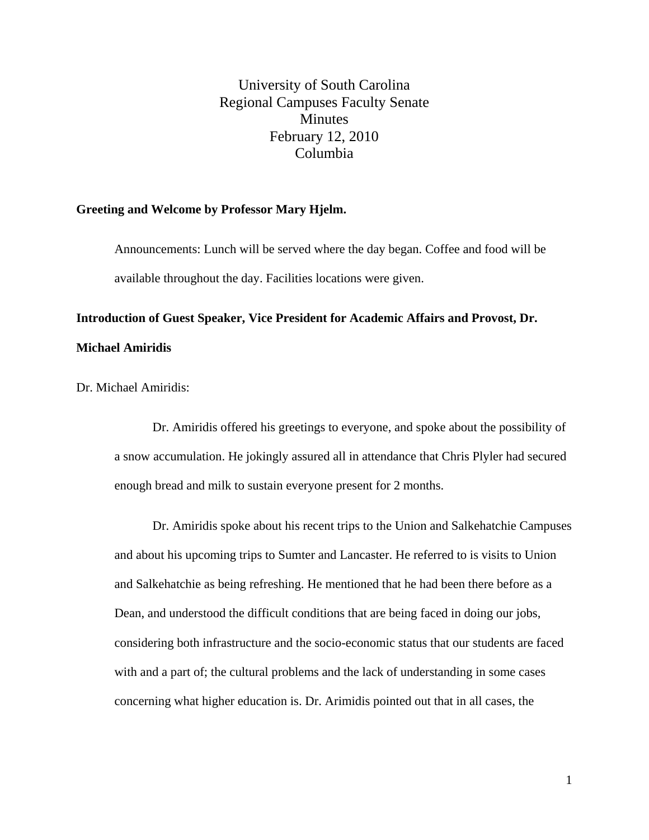University of South Carolina Regional Campuses Faculty Senate **Minutes** February 12, 2010 Columbia

#### **Greeting and Welcome by Professor Mary Hjelm.**

Announcements: Lunch will be served where the day began. Coffee and food will be available throughout the day. Facilities locations were given.

**Introduction of Guest Speaker, Vice President for Academic Affairs and Provost, Dr. Michael Amiridis** 

Dr. Michael Amiridis:

Dr. Amiridis offered his greetings to everyone, and spoke about the possibility of a snow accumulation. He jokingly assured all in attendance that Chris Plyler had secured enough bread and milk to sustain everyone present for 2 months.

Dr. Amiridis spoke about his recent trips to the Union and Salkehatchie Campuses and about his upcoming trips to Sumter and Lancaster. He referred to is visits to Union and Salkehatchie as being refreshing. He mentioned that he had been there before as a Dean, and understood the difficult conditions that are being faced in doing our jobs, considering both infrastructure and the socio-economic status that our students are faced with and a part of; the cultural problems and the lack of understanding in some cases concerning what higher education is. Dr. Arimidis pointed out that in all cases, the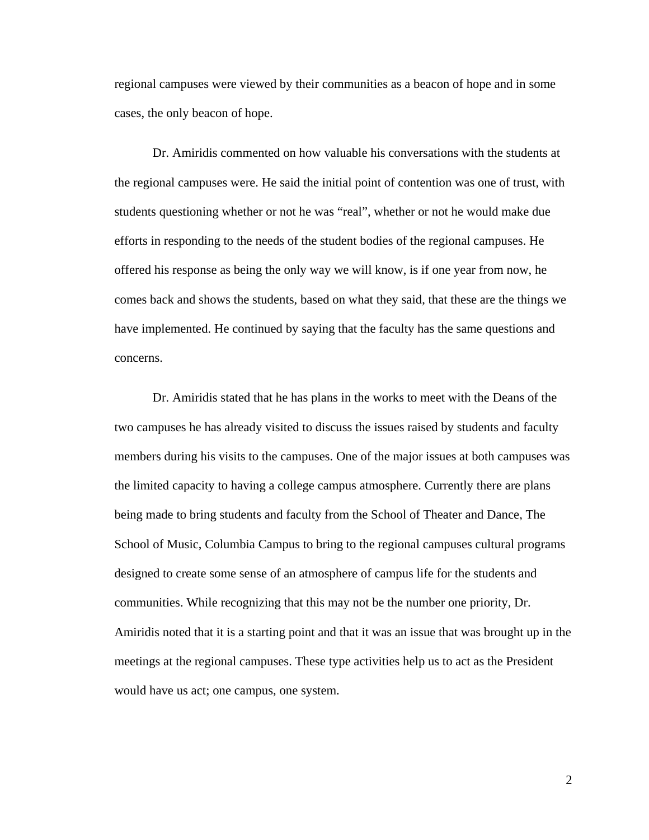regional campuses were viewed by their communities as a beacon of hope and in some cases, the only beacon of hope.

Dr. Amiridis commented on how valuable his conversations with the students at the regional campuses were. He said the initial point of contention was one of trust, with students questioning whether or not he was "real", whether or not he would make due efforts in responding to the needs of the student bodies of the regional campuses. He offered his response as being the only way we will know, is if one year from now, he comes back and shows the students, based on what they said, that these are the things we have implemented. He continued by saying that the faculty has the same questions and concerns.

Dr. Amiridis stated that he has plans in the works to meet with the Deans of the two campuses he has already visited to discuss the issues raised by students and faculty members during his visits to the campuses. One of the major issues at both campuses was the limited capacity to having a college campus atmosphere. Currently there are plans being made to bring students and faculty from the School of Theater and Dance, The School of Music, Columbia Campus to bring to the regional campuses cultural programs designed to create some sense of an atmosphere of campus life for the students and communities. While recognizing that this may not be the number one priority, Dr. Amiridis noted that it is a starting point and that it was an issue that was brought up in the meetings at the regional campuses. These type activities help us to act as the President would have us act; one campus, one system.

2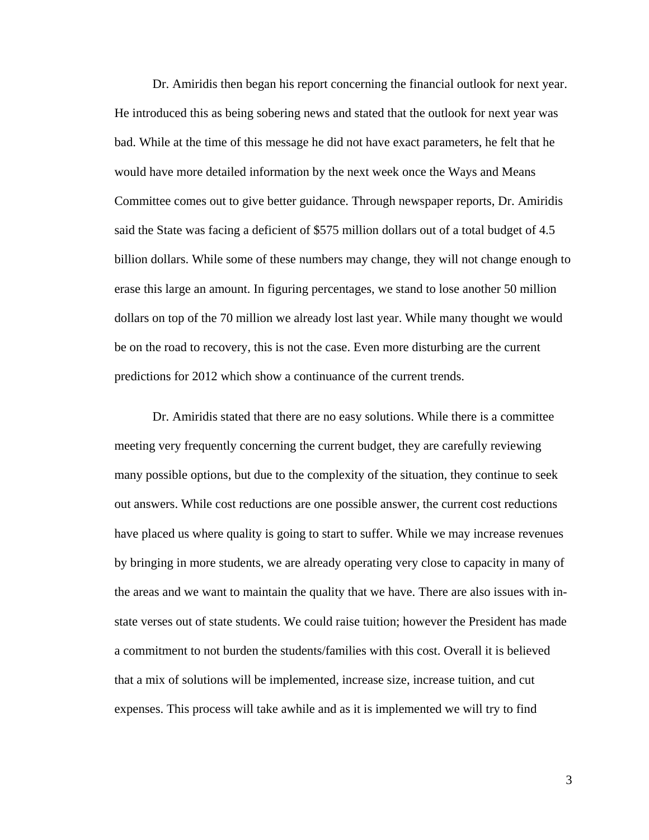Dr. Amiridis then began his report concerning the financial outlook for next year. He introduced this as being sobering news and stated that the outlook for next year was bad. While at the time of this message he did not have exact parameters, he felt that he would have more detailed information by the next week once the Ways and Means Committee comes out to give better guidance. Through newspaper reports, Dr. Amiridis said the State was facing a deficient of \$575 million dollars out of a total budget of 4.5 billion dollars. While some of these numbers may change, they will not change enough to erase this large an amount. In figuring percentages, we stand to lose another 50 million dollars on top of the 70 million we already lost last year. While many thought we would be on the road to recovery, this is not the case. Even more disturbing are the current predictions for 2012 which show a continuance of the current trends.

Dr. Amiridis stated that there are no easy solutions. While there is a committee meeting very frequently concerning the current budget, they are carefully reviewing many possible options, but due to the complexity of the situation, they continue to seek out answers. While cost reductions are one possible answer, the current cost reductions have placed us where quality is going to start to suffer. While we may increase revenues by bringing in more students, we are already operating very close to capacity in many of the areas and we want to maintain the quality that we have. There are also issues with instate verses out of state students. We could raise tuition; however the President has made a commitment to not burden the students/families with this cost. Overall it is believed that a mix of solutions will be implemented, increase size, increase tuition, and cut expenses. This process will take awhile and as it is implemented we will try to find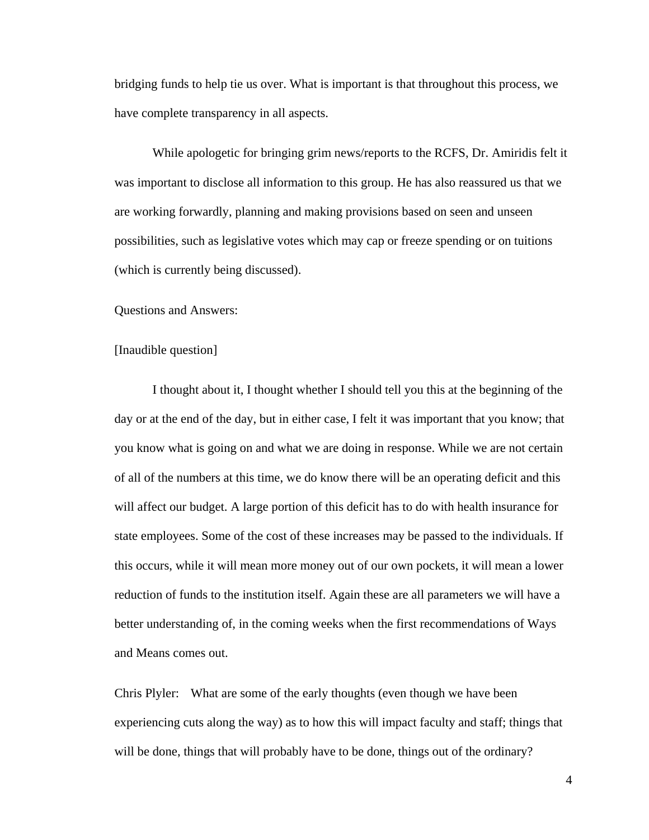bridging funds to help tie us over. What is important is that throughout this process, we have complete transparency in all aspects.

While apologetic for bringing grim news/reports to the RCFS, Dr. Amiridis felt it was important to disclose all information to this group. He has also reassured us that we are working forwardly, planning and making provisions based on seen and unseen possibilities, such as legislative votes which may cap or freeze spending or on tuitions (which is currently being discussed).

Questions and Answers:

[Inaudible question]

I thought about it, I thought whether I should tell you this at the beginning of the day or at the end of the day, but in either case, I felt it was important that you know; that you know what is going on and what we are doing in response. While we are not certain of all of the numbers at this time, we do know there will be an operating deficit and this will affect our budget. A large portion of this deficit has to do with health insurance for state employees. Some of the cost of these increases may be passed to the individuals. If this occurs, while it will mean more money out of our own pockets, it will mean a lower reduction of funds to the institution itself. Again these are all parameters we will have a better understanding of, in the coming weeks when the first recommendations of Ways and Means comes out.

Chris Plyler: What are some of the early thoughts (even though we have been experiencing cuts along the way) as to how this will impact faculty and staff; things that will be done, things that will probably have to be done, things out of the ordinary?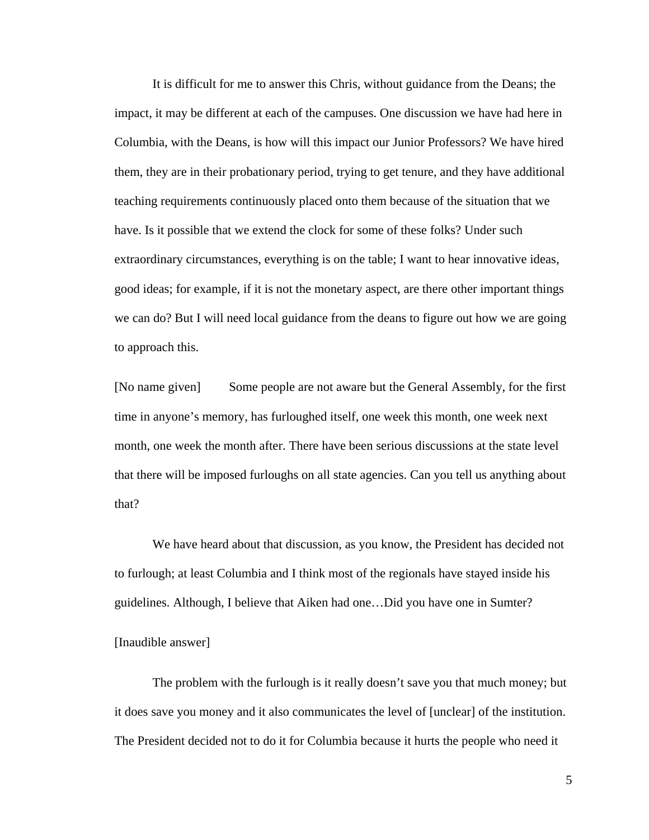It is difficult for me to answer this Chris, without guidance from the Deans; the impact, it may be different at each of the campuses. One discussion we have had here in Columbia, with the Deans, is how will this impact our Junior Professors? We have hired them, they are in their probationary period, trying to get tenure, and they have additional teaching requirements continuously placed onto them because of the situation that we have. Is it possible that we extend the clock for some of these folks? Under such extraordinary circumstances, everything is on the table; I want to hear innovative ideas, good ideas; for example, if it is not the monetary aspect, are there other important things we can do? But I will need local guidance from the deans to figure out how we are going to approach this.

[No name given] Some people are not aware but the General Assembly, for the first time in anyone's memory, has furloughed itself, one week this month, one week next month, one week the month after. There have been serious discussions at the state level that there will be imposed furloughs on all state agencies. Can you tell us anything about that?

We have heard about that discussion, as you know, the President has decided not to furlough; at least Columbia and I think most of the regionals have stayed inside his guidelines. Although, I believe that Aiken had one…Did you have one in Sumter? [Inaudible answer]

The problem with the furlough is it really doesn't save you that much money; but it does save you money and it also communicates the level of [unclear] of the institution. The President decided not to do it for Columbia because it hurts the people who need it

5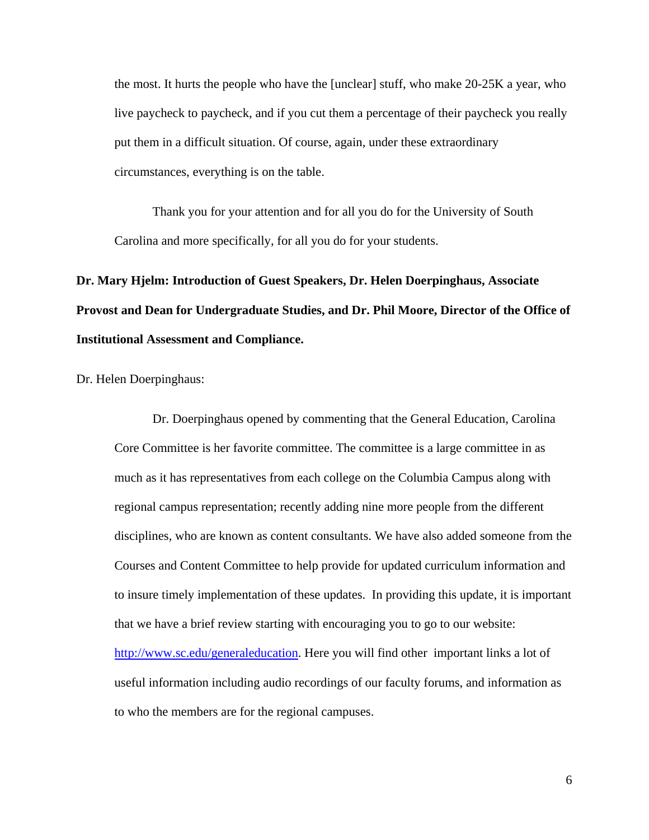the most. It hurts the people who have the [unclear] stuff, who make 20-25K a year, who live paycheck to paycheck, and if you cut them a percentage of their paycheck you really put them in a difficult situation. Of course, again, under these extraordinary circumstances, everything is on the table.

Thank you for your attention and for all you do for the University of South Carolina and more specifically, for all you do for your students.

# **Dr. Mary Hjelm: Introduction of Guest Speakers, Dr. Helen Doerpinghaus, Associate Provost and Dean for Undergraduate Studies, and Dr. Phil Moore, Director of the Office of Institutional Assessment and Compliance.**

Dr. Helen Doerpinghaus:

Dr. Doerpinghaus opened by commenting that the General Education, Carolina Core Committee is her favorite committee. The committee is a large committee in as much as it has representatives from each college on the Columbia Campus along with regional campus representation; recently adding nine more people from the different disciplines, who are known as content consultants. We have also added someone from the Courses and Content Committee to help provide for updated curriculum information and to insure timely implementation of these updates. In providing this update, it is important that we have a brief review starting with encouraging you to go to our website: http://www.sc.edu/generaleducation. Here you will find other important links a lot of useful information including audio recordings of our faculty forums, and information as to who the members are for the regional campuses.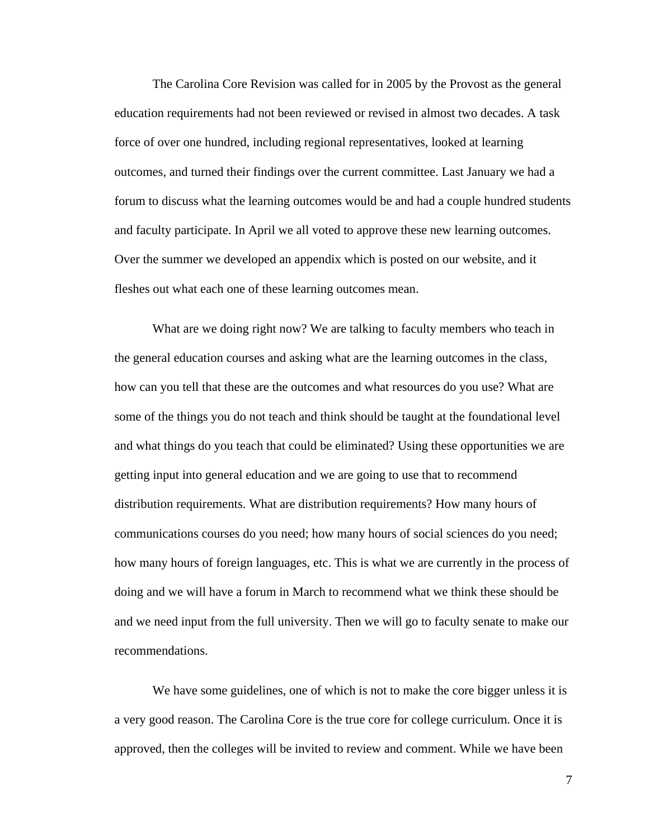The Carolina Core Revision was called for in 2005 by the Provost as the general education requirements had not been reviewed or revised in almost two decades. A task force of over one hundred, including regional representatives, looked at learning outcomes, and turned their findings over the current committee. Last January we had a forum to discuss what the learning outcomes would be and had a couple hundred students and faculty participate. In April we all voted to approve these new learning outcomes. Over the summer we developed an appendix which is posted on our website, and it fleshes out what each one of these learning outcomes mean.

 What are we doing right now? We are talking to faculty members who teach in the general education courses and asking what are the learning outcomes in the class, how can you tell that these are the outcomes and what resources do you use? What are some of the things you do not teach and think should be taught at the foundational level and what things do you teach that could be eliminated? Using these opportunities we are getting input into general education and we are going to use that to recommend distribution requirements. What are distribution requirements? How many hours of communications courses do you need; how many hours of social sciences do you need; how many hours of foreign languages, etc. This is what we are currently in the process of doing and we will have a forum in March to recommend what we think these should be and we need input from the full university. Then we will go to faculty senate to make our recommendations.

We have some guidelines, one of which is not to make the core bigger unless it is a very good reason. The Carolina Core is the true core for college curriculum. Once it is approved, then the colleges will be invited to review and comment. While we have been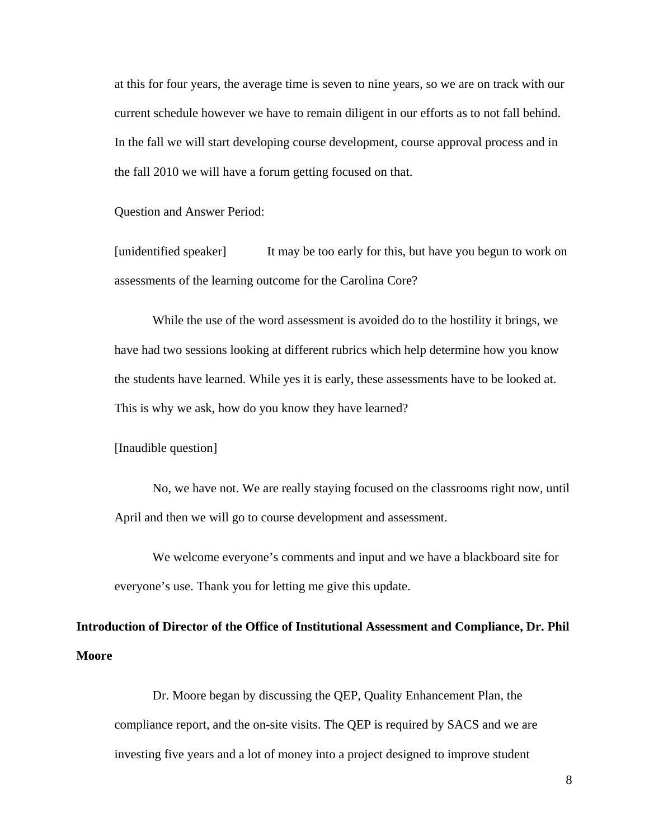at this for four years, the average time is seven to nine years, so we are on track with our current schedule however we have to remain diligent in our efforts as to not fall behind. In the fall we will start developing course development, course approval process and in the fall 2010 we will have a forum getting focused on that.

Question and Answer Period:

[unidentified speaker] It may be too early for this, but have you begun to work on assessments of the learning outcome for the Carolina Core?

While the use of the word assessment is avoided do to the hostility it brings, we have had two sessions looking at different rubrics which help determine how you know the students have learned. While yes it is early, these assessments have to be looked at. This is why we ask, how do you know they have learned?

[Inaudible question]

No, we have not. We are really staying focused on the classrooms right now, until April and then we will go to course development and assessment.

We welcome everyone's comments and input and we have a blackboard site for everyone's use. Thank you for letting me give this update.

**Introduction of Director of the Office of Institutional Assessment and Compliance, Dr. Phil Moore** 

Dr. Moore began by discussing the QEP, Quality Enhancement Plan, the compliance report, and the on-site visits. The QEP is required by SACS and we are investing five years and a lot of money into a project designed to improve student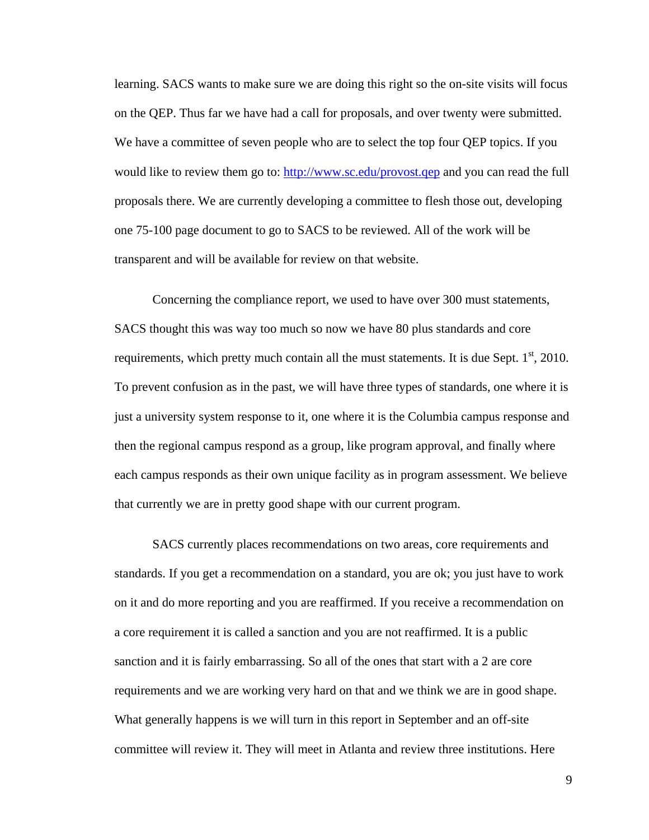learning. SACS wants to make sure we are doing this right so the on-site visits will focus on the QEP. Thus far we have had a call for proposals, and over twenty were submitted. We have a committee of seven people who are to select the top four QEP topics. If you would like to review them go to: http://www.sc.edu/provost.qep and you can read the full proposals there. We are currently developing a committee to flesh those out, developing one 75-100 page document to go to SACS to be reviewed. All of the work will be transparent and will be available for review on that website.

Concerning the compliance report, we used to have over 300 must statements, SACS thought this was way too much so now we have 80 plus standards and core requirements, which pretty much contain all the must statements. It is due Sept.  $1<sup>st</sup>$ , 2010. To prevent confusion as in the past, we will have three types of standards, one where it is just a university system response to it, one where it is the Columbia campus response and then the regional campus respond as a group, like program approval, and finally where each campus responds as their own unique facility as in program assessment. We believe that currently we are in pretty good shape with our current program.

SACS currently places recommendations on two areas, core requirements and standards. If you get a recommendation on a standard, you are ok; you just have to work on it and do more reporting and you are reaffirmed. If you receive a recommendation on a core requirement it is called a sanction and you are not reaffirmed. It is a public sanction and it is fairly embarrassing. So all of the ones that start with a 2 are core requirements and we are working very hard on that and we think we are in good shape. What generally happens is we will turn in this report in September and an off-site committee will review it. They will meet in Atlanta and review three institutions. Here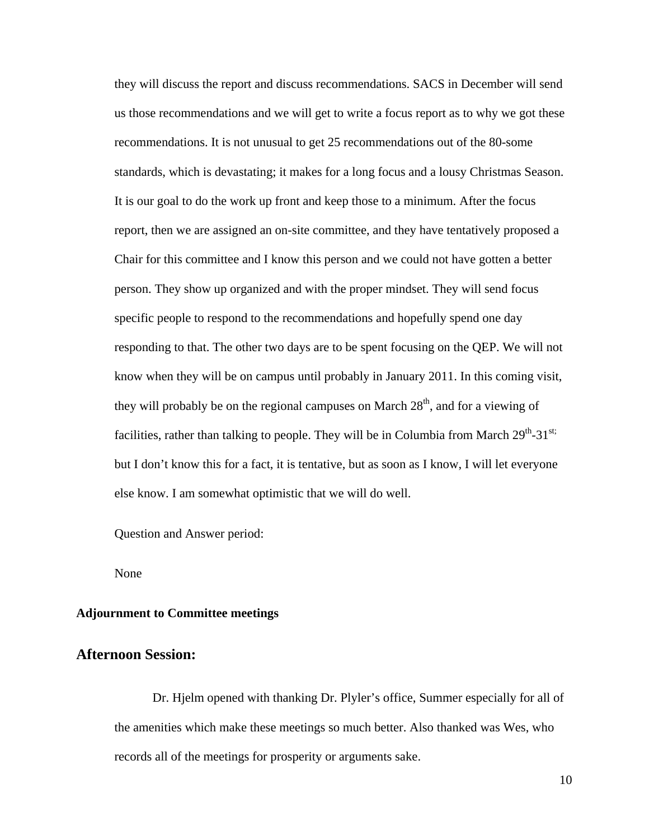they will discuss the report and discuss recommendations. SACS in December will send us those recommendations and we will get to write a focus report as to why we got these recommendations. It is not unusual to get 25 recommendations out of the 80-some standards, which is devastating; it makes for a long focus and a lousy Christmas Season. It is our goal to do the work up front and keep those to a minimum. After the focus report, then we are assigned an on-site committee, and they have tentatively proposed a Chair for this committee and I know this person and we could not have gotten a better person. They show up organized and with the proper mindset. They will send focus specific people to respond to the recommendations and hopefully spend one day responding to that. The other two days are to be spent focusing on the QEP. We will not know when they will be on campus until probably in January 2011. In this coming visit, they will probably be on the regional campuses on March  $28<sup>th</sup>$ , and for a viewing of facilities, rather than talking to people. They will be in Columbia from March  $29^{th}$ -31<sup>st;</sup> but I don't know this for a fact, it is tentative, but as soon as I know, I will let everyone else know. I am somewhat optimistic that we will do well.

Question and Answer period:

None

#### **Adjournment to Committee meetings**

## **Afternoon Session:**

Dr. Hjelm opened with thanking Dr. Plyler's office, Summer especially for all of the amenities which make these meetings so much better. Also thanked was Wes, who records all of the meetings for prosperity or arguments sake.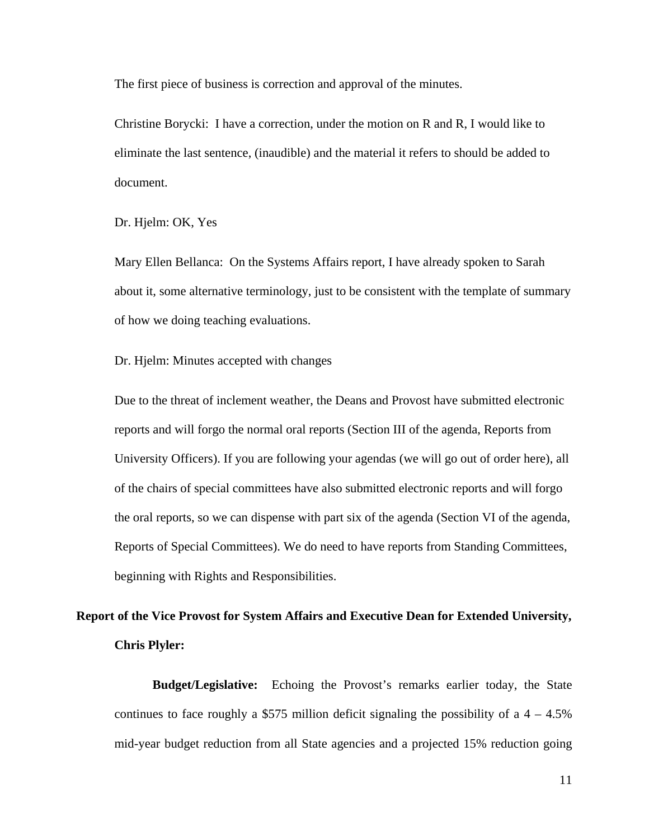The first piece of business is correction and approval of the minutes.

Christine Borycki: I have a correction, under the motion on R and R, I would like to eliminate the last sentence, (inaudible) and the material it refers to should be added to document.

Dr. Hjelm: OK, Yes

Mary Ellen Bellanca: On the Systems Affairs report, I have already spoken to Sarah about it, some alternative terminology, just to be consistent with the template of summary of how we doing teaching evaluations.

Dr. Hjelm: Minutes accepted with changes

Due to the threat of inclement weather, the Deans and Provost have submitted electronic reports and will forgo the normal oral reports (Section III of the agenda, Reports from University Officers). If you are following your agendas (we will go out of order here), all of the chairs of special committees have also submitted electronic reports and will forgo the oral reports, so we can dispense with part six of the agenda (Section VI of the agenda, Reports of Special Committees). We do need to have reports from Standing Committees, beginning with Rights and Responsibilities.

## **Report of the Vice Provost for System Affairs and Executive Dean for Extended University, Chris Plyler:**

**Budget/Legislative:** Echoing the Provost's remarks earlier today, the State continues to face roughly a \$575 million deficit signaling the possibility of a  $4 - 4.5\%$ mid-year budget reduction from all State agencies and a projected 15% reduction going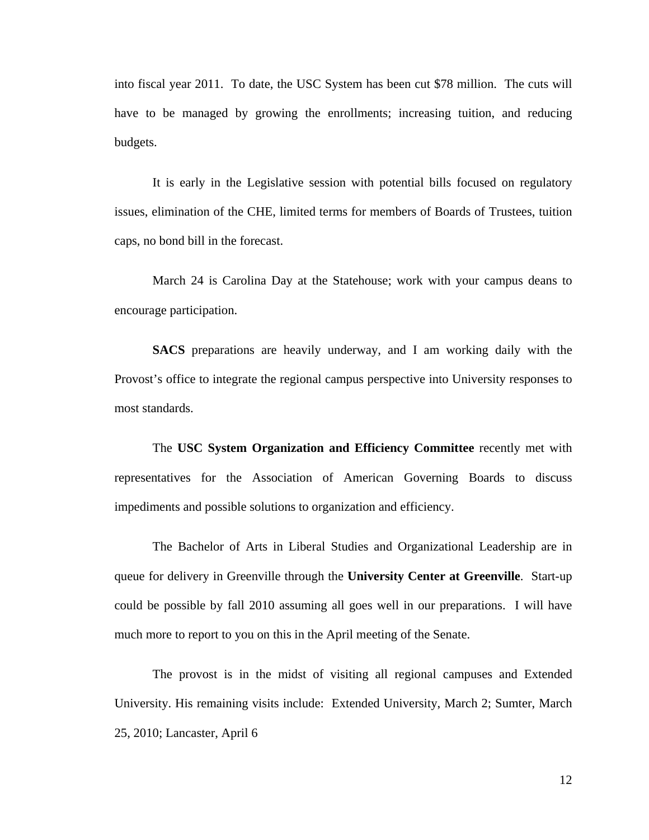into fiscal year 2011. To date, the USC System has been cut \$78 million. The cuts will have to be managed by growing the enrollments; increasing tuition, and reducing budgets.

It is early in the Legislative session with potential bills focused on regulatory issues, elimination of the CHE, limited terms for members of Boards of Trustees, tuition caps, no bond bill in the forecast.

March 24 is Carolina Day at the Statehouse; work with your campus deans to encourage participation.

**SACS** preparations are heavily underway, and I am working daily with the Provost's office to integrate the regional campus perspective into University responses to most standards.

The **USC System Organization and Efficiency Committee** recently met with representatives for the Association of American Governing Boards to discuss impediments and possible solutions to organization and efficiency.

The Bachelor of Arts in Liberal Studies and Organizational Leadership are in queue for delivery in Greenville through the **University Center at Greenville**. Start-up could be possible by fall 2010 assuming all goes well in our preparations. I will have much more to report to you on this in the April meeting of the Senate.

The provost is in the midst of visiting all regional campuses and Extended University. His remaining visits include: Extended University, March 2; Sumter, March 25, 2010; Lancaster, April 6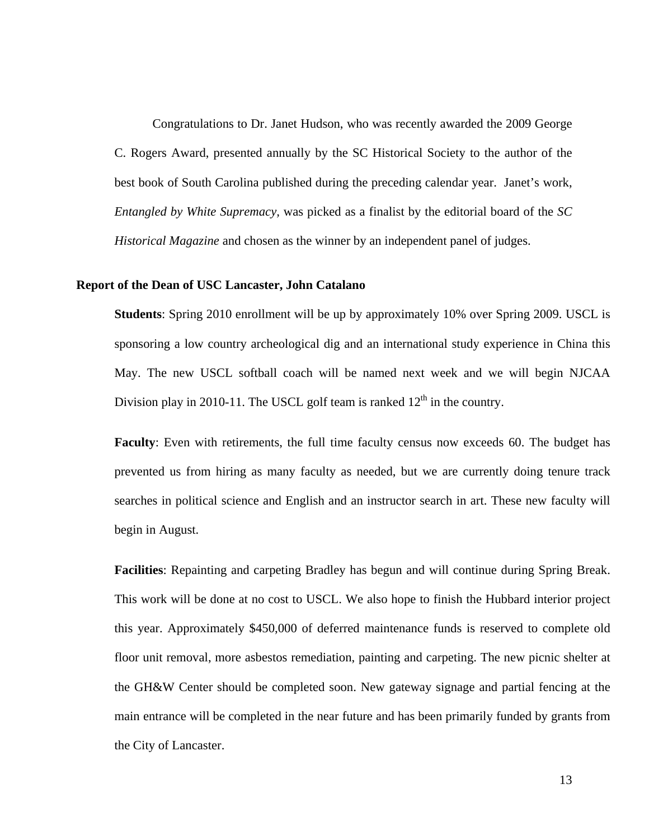Congratulations to Dr. Janet Hudson, who was recently awarded the 2009 George C. Rogers Award, presented annually by the SC Historical Society to the author of the best book of South Carolina published during the preceding calendar year. Janet's work, *Entangled by White Supremacy,* was picked as a finalist by the editorial board of the *SC Historical Magazine* and chosen as the winner by an independent panel of judges.

#### **Report of the Dean of USC Lancaster, John Catalano**

**Students**: Spring 2010 enrollment will be up by approximately 10% over Spring 2009. USCL is sponsoring a low country archeological dig and an international study experience in China this May. The new USCL softball coach will be named next week and we will begin NJCAA Division play in 2010-11. The USCL golf team is ranked  $12<sup>th</sup>$  in the country.

**Faculty**: Even with retirements, the full time faculty census now exceeds 60. The budget has prevented us from hiring as many faculty as needed, but we are currently doing tenure track searches in political science and English and an instructor search in art. These new faculty will begin in August.

**Facilities**: Repainting and carpeting Bradley has begun and will continue during Spring Break. This work will be done at no cost to USCL. We also hope to finish the Hubbard interior project this year. Approximately \$450,000 of deferred maintenance funds is reserved to complete old floor unit removal, more asbestos remediation, painting and carpeting. The new picnic shelter at the GH&W Center should be completed soon. New gateway signage and partial fencing at the main entrance will be completed in the near future and has been primarily funded by grants from the City of Lancaster.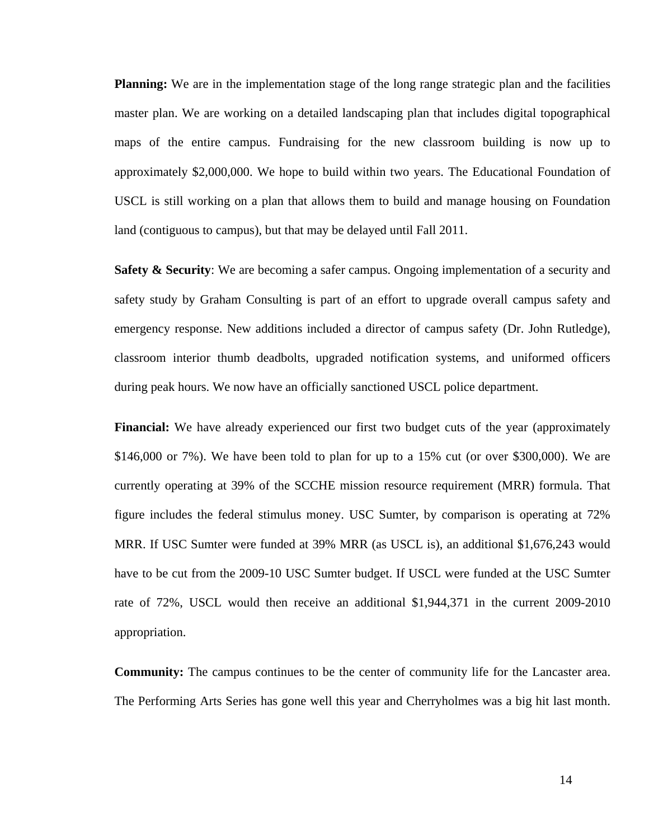**Planning:** We are in the implementation stage of the long range strategic plan and the facilities master plan. We are working on a detailed landscaping plan that includes digital topographical maps of the entire campus. Fundraising for the new classroom building is now up to approximately \$2,000,000. We hope to build within two years. The Educational Foundation of USCL is still working on a plan that allows them to build and manage housing on Foundation land (contiguous to campus), but that may be delayed until Fall 2011.

**Safety & Security:** We are becoming a safer campus. Ongoing implementation of a security and safety study by Graham Consulting is part of an effort to upgrade overall campus safety and emergency response. New additions included a director of campus safety (Dr. John Rutledge), classroom interior thumb deadbolts, upgraded notification systems, and uniformed officers during peak hours. We now have an officially sanctioned USCL police department.

Financial: We have already experienced our first two budget cuts of the year (approximately \$146,000 or 7%). We have been told to plan for up to a 15% cut (or over \$300,000). We are currently operating at 39% of the SCCHE mission resource requirement (MRR) formula. That figure includes the federal stimulus money. USC Sumter, by comparison is operating at 72% MRR. If USC Sumter were funded at 39% MRR (as USCL is), an additional \$1,676,243 would have to be cut from the 2009-10 USC Sumter budget. If USCL were funded at the USC Sumter rate of 72%, USCL would then receive an additional \$1,944,371 in the current 2009-2010 appropriation.

**Community:** The campus continues to be the center of community life for the Lancaster area. The Performing Arts Series has gone well this year and Cherryholmes was a big hit last month.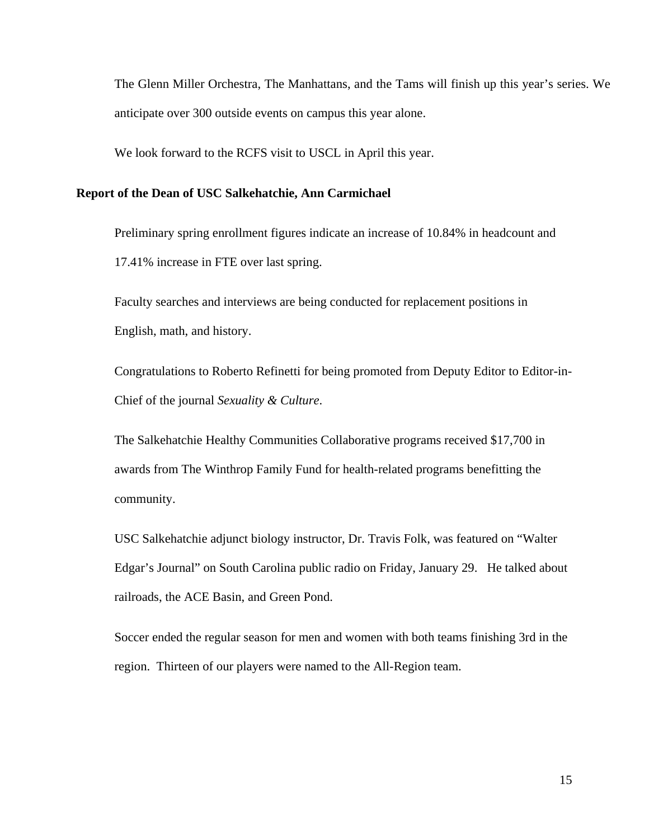The Glenn Miller Orchestra, The Manhattans, and the Tams will finish up this year's series. We anticipate over 300 outside events on campus this year alone.

We look forward to the RCFS visit to USCL in April this year.

#### **Report of the Dean of USC Salkehatchie, Ann Carmichael**

Preliminary spring enrollment figures indicate an increase of 10.84% in headcount and 17.41% increase in FTE over last spring.

Faculty searches and interviews are being conducted for replacement positions in English, math, and history.

Congratulations to Roberto Refinetti for being promoted from Deputy Editor to Editor-in-Chief of the journal *Sexuality & Culture*.

The Salkehatchie Healthy Communities Collaborative programs received \$17,700 in awards from The Winthrop Family Fund for health-related programs benefitting the community.

USC Salkehatchie adjunct biology instructor, Dr. Travis Folk, was featured on "Walter Edgar's Journal" on South Carolina public radio on Friday, January 29. He talked about railroads, the ACE Basin, and Green Pond.

Soccer ended the regular season for men and women with both teams finishing 3rd in the region. Thirteen of our players were named to the All-Region team.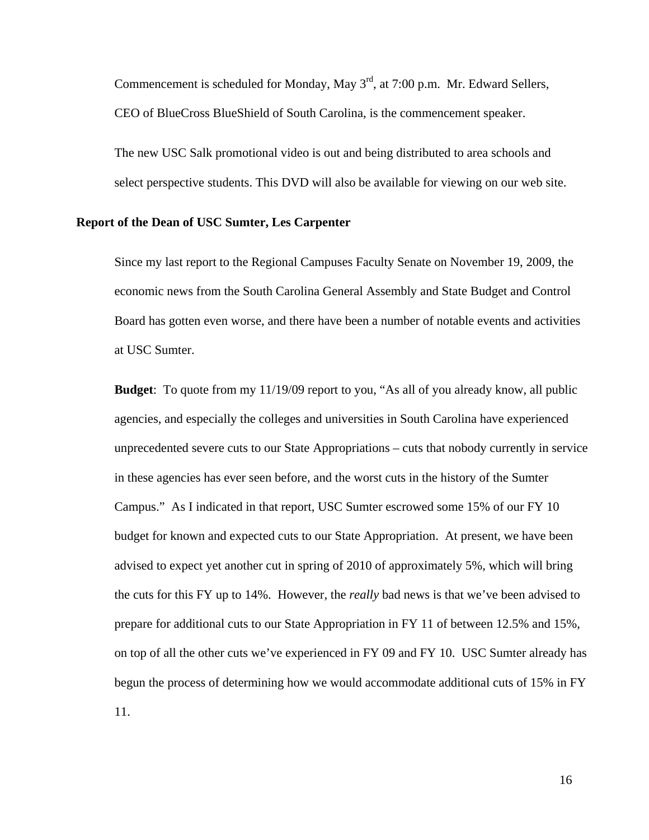Commencement is scheduled for Monday, May 3<sup>rd</sup>, at 7:00 p.m. Mr. Edward Sellers, CEO of BlueCross BlueShield of South Carolina, is the commencement speaker.

The new USC Salk promotional video is out and being distributed to area schools and select perspective students. This DVD will also be available for viewing on our web site.

#### **Report of the Dean of USC Sumter, Les Carpenter**

Since my last report to the Regional Campuses Faculty Senate on November 19, 2009, the economic news from the South Carolina General Assembly and State Budget and Control Board has gotten even worse, and there have been a number of notable events and activities at USC Sumter.

**Budget**: To quote from my 11/19/09 report to you, "As all of you already know, all public agencies, and especially the colleges and universities in South Carolina have experienced unprecedented severe cuts to our State Appropriations – cuts that nobody currently in service in these agencies has ever seen before, and the worst cuts in the history of the Sumter Campus." As I indicated in that report, USC Sumter escrowed some 15% of our FY 10 budget for known and expected cuts to our State Appropriation. At present, we have been advised to expect yet another cut in spring of 2010 of approximately 5%, which will bring the cuts for this FY up to 14%. However, the *really* bad news is that we've been advised to prepare for additional cuts to our State Appropriation in FY 11 of between 12.5% and 15%, on top of all the other cuts we've experienced in FY 09 and FY 10. USC Sumter already has begun the process of determining how we would accommodate additional cuts of 15% in FY 11.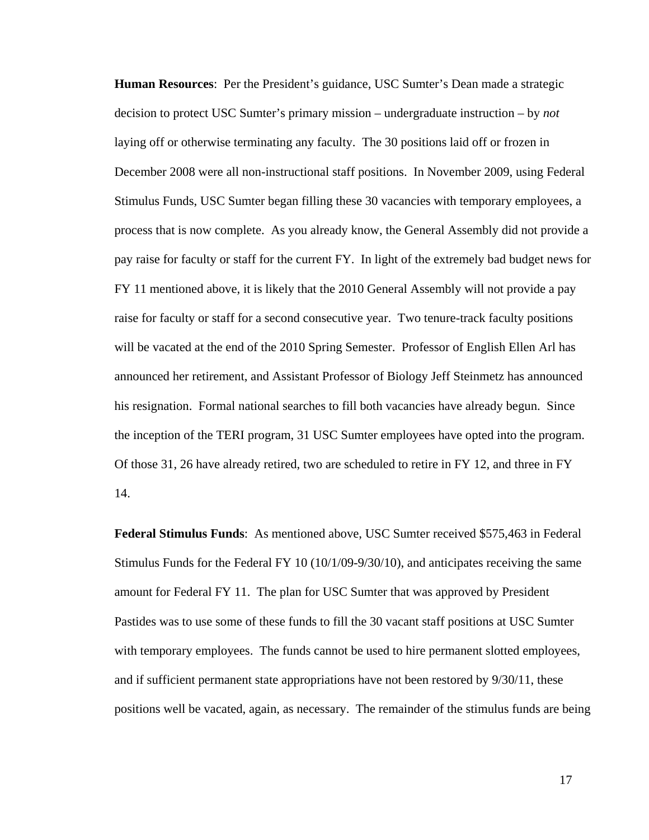**Human Resources**: Per the President's guidance, USC Sumter's Dean made a strategic decision to protect USC Sumter's primary mission – undergraduate instruction – by *not* laying off or otherwise terminating any faculty. The 30 positions laid off or frozen in December 2008 were all non-instructional staff positions. In November 2009, using Federal Stimulus Funds, USC Sumter began filling these 30 vacancies with temporary employees, a process that is now complete. As you already know, the General Assembly did not provide a pay raise for faculty or staff for the current FY. In light of the extremely bad budget news for FY 11 mentioned above, it is likely that the 2010 General Assembly will not provide a pay raise for faculty or staff for a second consecutive year. Two tenure-track faculty positions will be vacated at the end of the 2010 Spring Semester. Professor of English Ellen Arl has announced her retirement, and Assistant Professor of Biology Jeff Steinmetz has announced his resignation. Formal national searches to fill both vacancies have already begun. Since the inception of the TERI program, 31 USC Sumter employees have opted into the program. Of those 31, 26 have already retired, two are scheduled to retire in FY 12, and three in FY 14.

**Federal Stimulus Funds**: As mentioned above, USC Sumter received \$575,463 in Federal Stimulus Funds for the Federal FY 10 (10/1/09-9/30/10), and anticipates receiving the same amount for Federal FY 11. The plan for USC Sumter that was approved by President Pastides was to use some of these funds to fill the 30 vacant staff positions at USC Sumter with temporary employees. The funds cannot be used to hire permanent slotted employees, and if sufficient permanent state appropriations have not been restored by 9/30/11, these positions well be vacated, again, as necessary. The remainder of the stimulus funds are being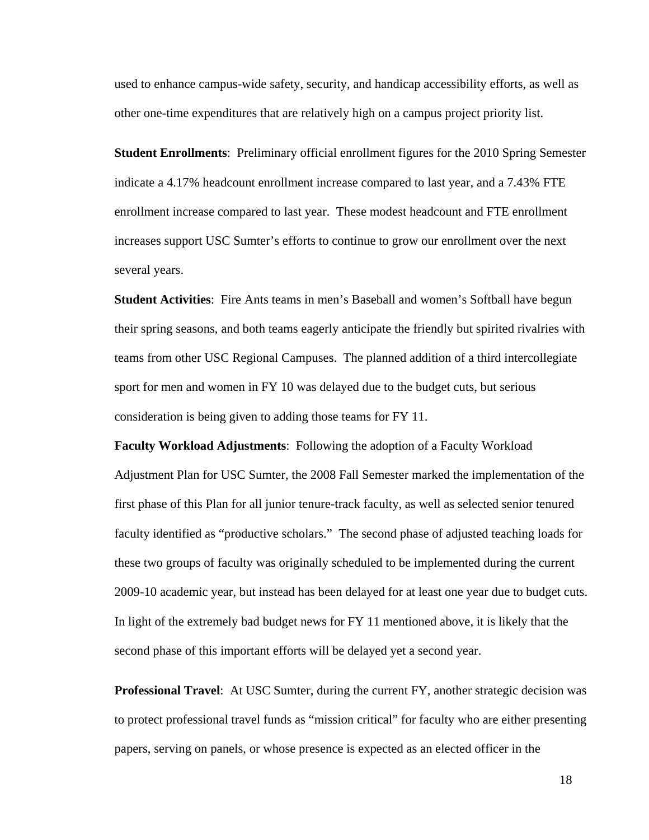used to enhance campus-wide safety, security, and handicap accessibility efforts, as well as other one-time expenditures that are relatively high on a campus project priority list.

**Student Enrollments**: Preliminary official enrollment figures for the 2010 Spring Semester indicate a 4.17% headcount enrollment increase compared to last year, and a 7.43% FTE enrollment increase compared to last year. These modest headcount and FTE enrollment increases support USC Sumter's efforts to continue to grow our enrollment over the next several years.

**Student Activities**: Fire Ants teams in men's Baseball and women's Softball have begun their spring seasons, and both teams eagerly anticipate the friendly but spirited rivalries with teams from other USC Regional Campuses. The planned addition of a third intercollegiate sport for men and women in FY 10 was delayed due to the budget cuts, but serious consideration is being given to adding those teams for FY 11.

**Faculty Workload Adjustments**: Following the adoption of a Faculty Workload Adjustment Plan for USC Sumter, the 2008 Fall Semester marked the implementation of the first phase of this Plan for all junior tenure-track faculty, as well as selected senior tenured faculty identified as "productive scholars." The second phase of adjusted teaching loads for these two groups of faculty was originally scheduled to be implemented during the current 2009-10 academic year, but instead has been delayed for at least one year due to budget cuts. In light of the extremely bad budget news for FY 11 mentioned above, it is likely that the second phase of this important efforts will be delayed yet a second year.

**Professional Travel**: At USC Sumter, during the current FY, another strategic decision was to protect professional travel funds as "mission critical" for faculty who are either presenting papers, serving on panels, or whose presence is expected as an elected officer in the

18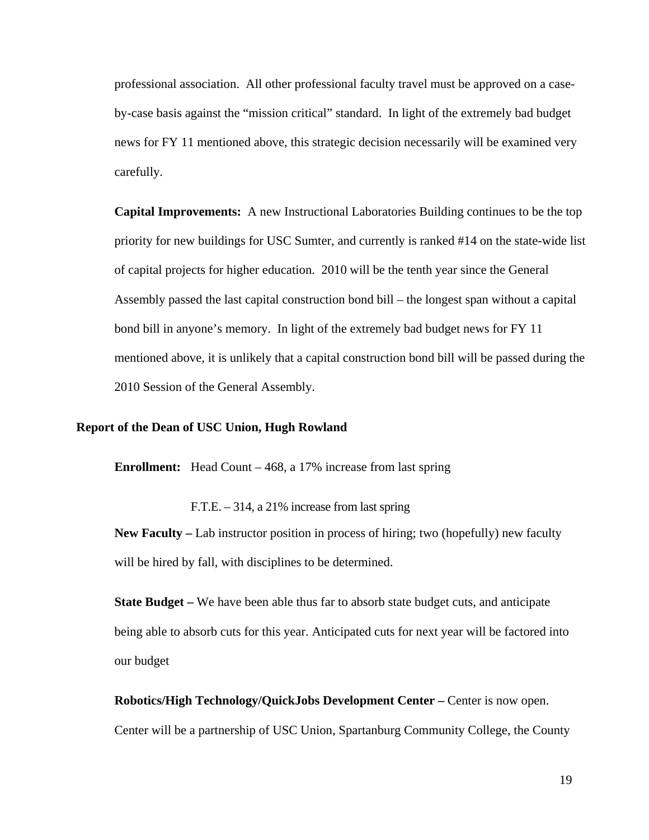professional association. All other professional faculty travel must be approved on a caseby-case basis against the "mission critical" standard. In light of the extremely bad budget news for FY 11 mentioned above, this strategic decision necessarily will be examined very carefully.

**Capital Improvements:** A new Instructional Laboratories Building continues to be the top priority for new buildings for USC Sumter, and currently is ranked #14 on the state-wide list of capital projects for higher education. 2010 will be the tenth year since the General Assembly passed the last capital construction bond bill – the longest span without a capital bond bill in anyone's memory. In light of the extremely bad budget news for FY 11 mentioned above, it is unlikely that a capital construction bond bill will be passed during the 2010 Session of the General Assembly.

#### **Report of the Dean of USC Union, Hugh Rowland**

**Enrollment:** Head Count – 468, a 17% increase from last spring

F.T.E. – 314, a 21% increase from last spring

**New Faculty –** Lab instructor position in process of hiring; two (hopefully) new faculty will be hired by fall, with disciplines to be determined.

**State Budget –** We have been able thus far to absorb state budget cuts, and anticipate being able to absorb cuts for this year. Anticipated cuts for next year will be factored into our budget

**Robotics/High Technology/QuickJobs Development Center – Center is now open.** Center will be a partnership of USC Union, Spartanburg Community College, the County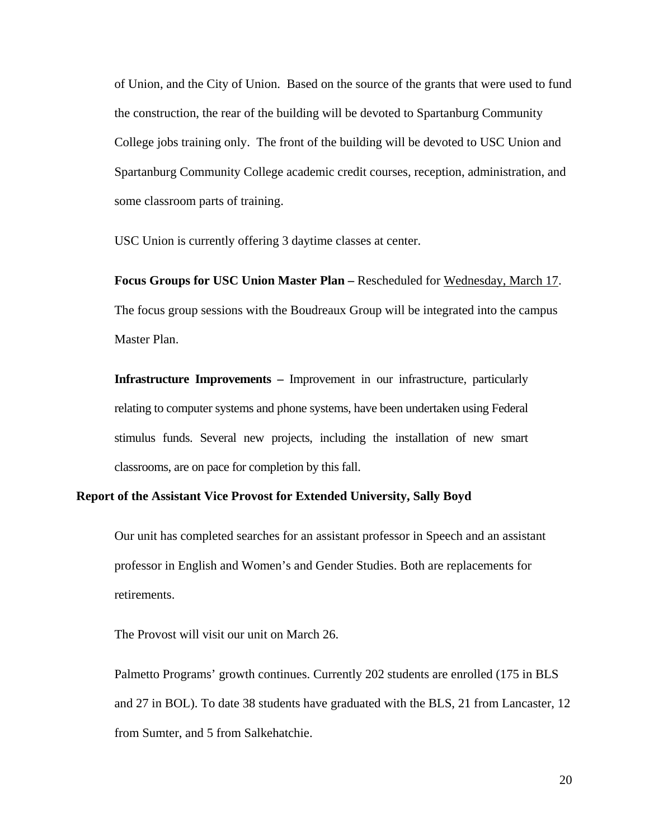of Union, and the City of Union. Based on the source of the grants that were used to fund the construction, the rear of the building will be devoted to Spartanburg Community College jobs training only. The front of the building will be devoted to USC Union and Spartanburg Community College academic credit courses, reception, administration, and some classroom parts of training.

USC Union is currently offering 3 daytime classes at center.

**Focus Groups for USC Union Master Plan –** Rescheduled for Wednesday, March 17. The focus group sessions with the Boudreaux Group will be integrated into the campus Master Plan.

**Infrastructure Improvements –** Improvement in our infrastructure, particularly relating to computer systems and phone systems, have been undertaken using Federal stimulus funds. Several new projects, including the installation of new smart classrooms, are on pace for completion by this fall.

## **Report of the Assistant Vice Provost for Extended University, Sally Boyd**

Our unit has completed searches for an assistant professor in Speech and an assistant professor in English and Women's and Gender Studies. Both are replacements for retirements.

The Provost will visit our unit on March 26.

Palmetto Programs' growth continues. Currently 202 students are enrolled (175 in BLS and 27 in BOL). To date 38 students have graduated with the BLS, 21 from Lancaster, 12 from Sumter, and 5 from Salkehatchie.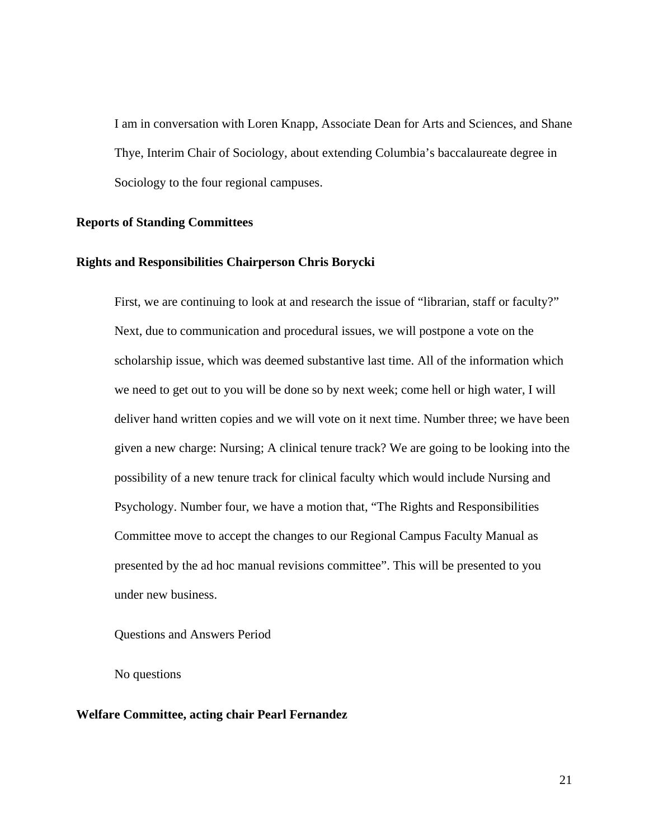I am in conversation with Loren Knapp, Associate Dean for Arts and Sciences, and Shane Thye, Interim Chair of Sociology, about extending Columbia's baccalaureate degree in Sociology to the four regional campuses.

#### **Reports of Standing Committees**

#### **Rights and Responsibilities Chairperson Chris Borycki**

First, we are continuing to look at and research the issue of "librarian, staff or faculty?" Next, due to communication and procedural issues, we will postpone a vote on the scholarship issue, which was deemed substantive last time. All of the information which we need to get out to you will be done so by next week; come hell or high water, I will deliver hand written copies and we will vote on it next time. Number three; we have been given a new charge: Nursing; A clinical tenure track? We are going to be looking into the possibility of a new tenure track for clinical faculty which would include Nursing and Psychology. Number four, we have a motion that, "The Rights and Responsibilities Committee move to accept the changes to our Regional Campus Faculty Manual as presented by the ad hoc manual revisions committee". This will be presented to you under new business.

Questions and Answers Period

No questions

#### **Welfare Committee, acting chair Pearl Fernandez**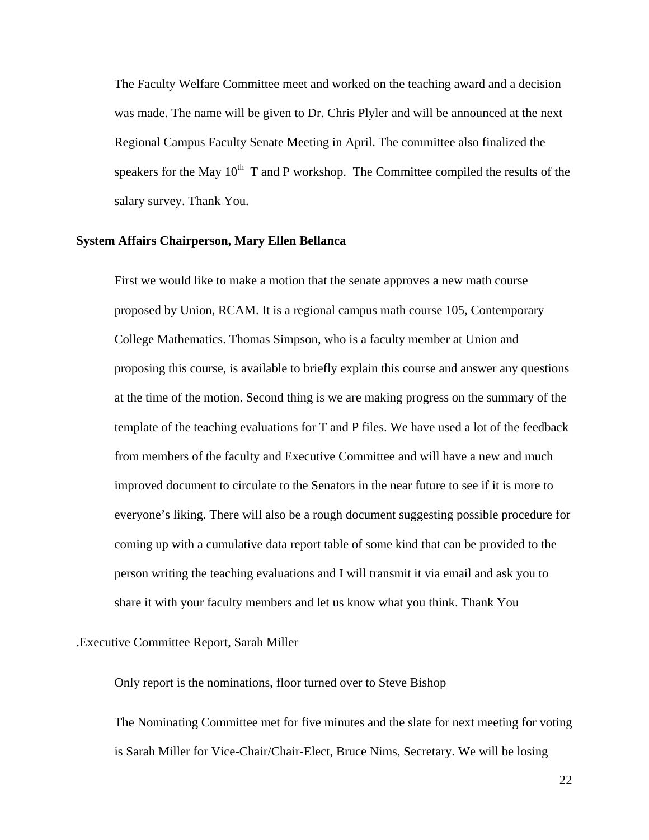The Faculty Welfare Committee meet and worked on the teaching award and a decision was made. The name will be given to Dr. Chris Plyler and will be announced at the next Regional Campus Faculty Senate Meeting in April. The committee also finalized the speakers for the May  $10^{th}$  T and P workshop. The Committee compiled the results of the salary survey. Thank You.

#### **System Affairs Chairperson, Mary Ellen Bellanca**

First we would like to make a motion that the senate approves a new math course proposed by Union, RCAM. It is a regional campus math course 105, Contemporary College Mathematics. Thomas Simpson, who is a faculty member at Union and proposing this course, is available to briefly explain this course and answer any questions at the time of the motion. Second thing is we are making progress on the summary of the template of the teaching evaluations for T and P files. We have used a lot of the feedback from members of the faculty and Executive Committee and will have a new and much improved document to circulate to the Senators in the near future to see if it is more to everyone's liking. There will also be a rough document suggesting possible procedure for coming up with a cumulative data report table of some kind that can be provided to the person writing the teaching evaluations and I will transmit it via email and ask you to share it with your faculty members and let us know what you think. Thank You

#### .Executive Committee Report, Sarah Miller

Only report is the nominations, floor turned over to Steve Bishop

The Nominating Committee met for five minutes and the slate for next meeting for voting is Sarah Miller for Vice-Chair/Chair-Elect, Bruce Nims, Secretary. We will be losing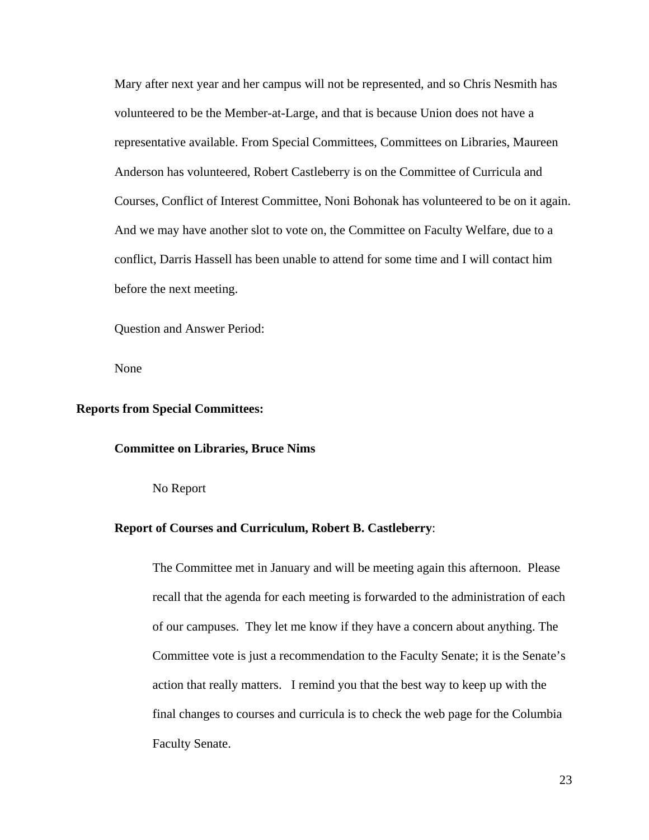Mary after next year and her campus will not be represented, and so Chris Nesmith has volunteered to be the Member-at-Large, and that is because Union does not have a representative available. From Special Committees, Committees on Libraries, Maureen Anderson has volunteered, Robert Castleberry is on the Committee of Curricula and Courses, Conflict of Interest Committee, Noni Bohonak has volunteered to be on it again. And we may have another slot to vote on, the Committee on Faculty Welfare, due to a conflict, Darris Hassell has been unable to attend for some time and I will contact him before the next meeting.

Question and Answer Period:

None

#### **Reports from Special Committees:**

#### **Committee on Libraries, Bruce Nims**

No Report

#### **Report of Courses and Curriculum, Robert B. Castleberry**:

The Committee met in January and will be meeting again this afternoon. Please recall that the agenda for each meeting is forwarded to the administration of each of our campuses. They let me know if they have a concern about anything. The Committee vote is just a recommendation to the Faculty Senate; it is the Senate's action that really matters. I remind you that the best way to keep up with the final changes to courses and curricula is to check the web page for the Columbia Faculty Senate.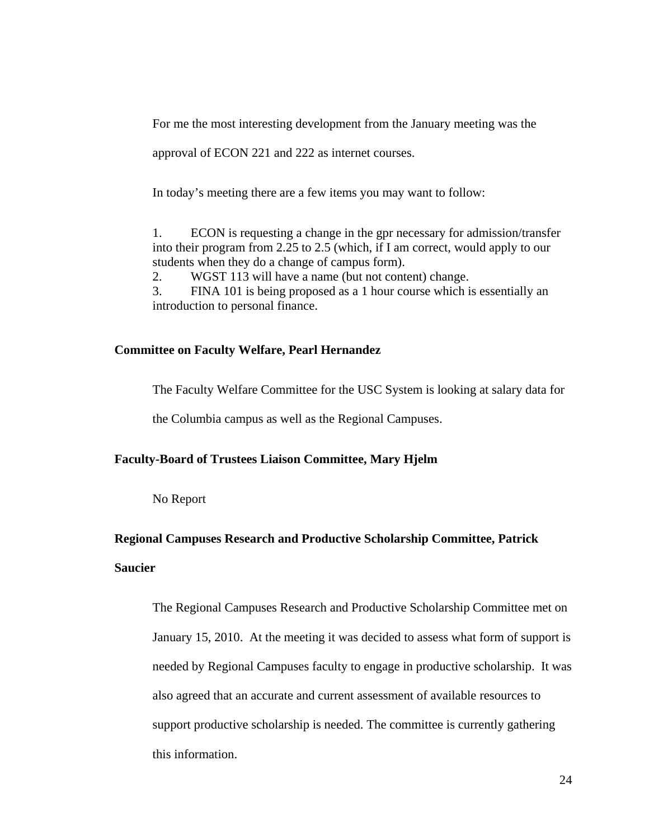For me the most interesting development from the January meeting was the

approval of ECON 221 and 222 as internet courses.

In today's meeting there are a few items you may want to follow:

1. ECON is requesting a change in the gpr necessary for admission/transfer into their program from 2.25 to 2.5 (which, if I am correct, would apply to our students when they do a change of campus form).

2. WGST 113 will have a name (but not content) change.

3. FINA 101 is being proposed as a 1 hour course which is essentially an introduction to personal finance.

#### **Committee on Faculty Welfare, Pearl Hernandez**

The Faculty Welfare Committee for the USC System is looking at salary data for

the Columbia campus as well as the Regional Campuses.

#### **Faculty-Board of Trustees Liaison Committee, Mary Hjelm**

No Report

#### **Regional Campuses Research and Productive Scholarship Committee, Patrick**

## **Saucier**

The Regional Campuses Research and Productive Scholarship Committee met on January 15, 2010. At the meeting it was decided to assess what form of support is needed by Regional Campuses faculty to engage in productive scholarship. It was also agreed that an accurate and current assessment of available resources to support productive scholarship is needed. The committee is currently gathering this information.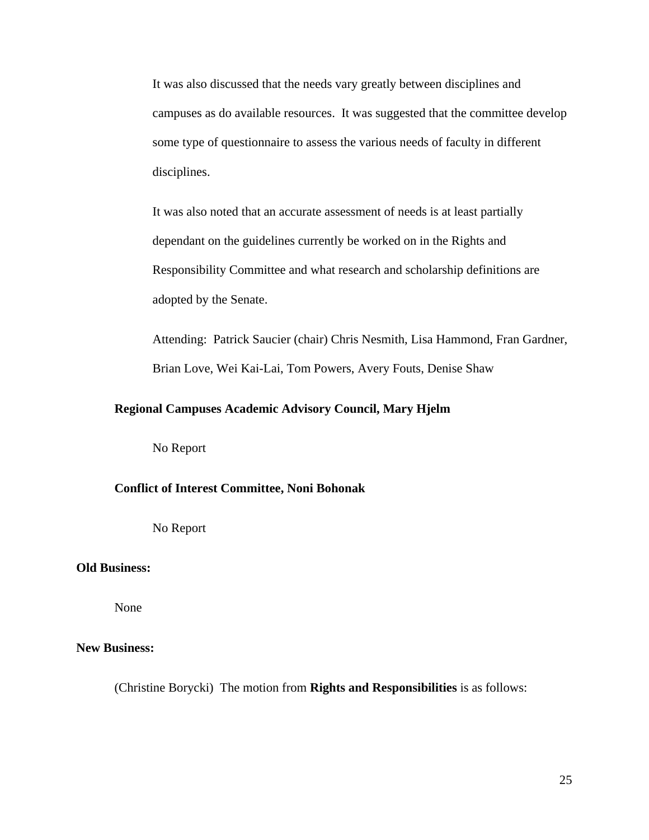It was also discussed that the needs vary greatly between disciplines and campuses as do available resources. It was suggested that the committee develop some type of questionnaire to assess the various needs of faculty in different disciplines.

It was also noted that an accurate assessment of needs is at least partially dependant on the guidelines currently be worked on in the Rights and Responsibility Committee and what research and scholarship definitions are adopted by the Senate.

Attending: Patrick Saucier (chair) Chris Nesmith, Lisa Hammond, Fran Gardner, Brian Love, Wei Kai-Lai, Tom Powers, Avery Fouts, Denise Shaw

## **Regional Campuses Academic Advisory Council, Mary Hjelm**

No Report

#### **Conflict of Interest Committee, Noni Bohonak**

No Report

## **Old Business:**

None

### **New Business:**

(Christine Borycki) The motion from **Rights and Responsibilities** is as follows: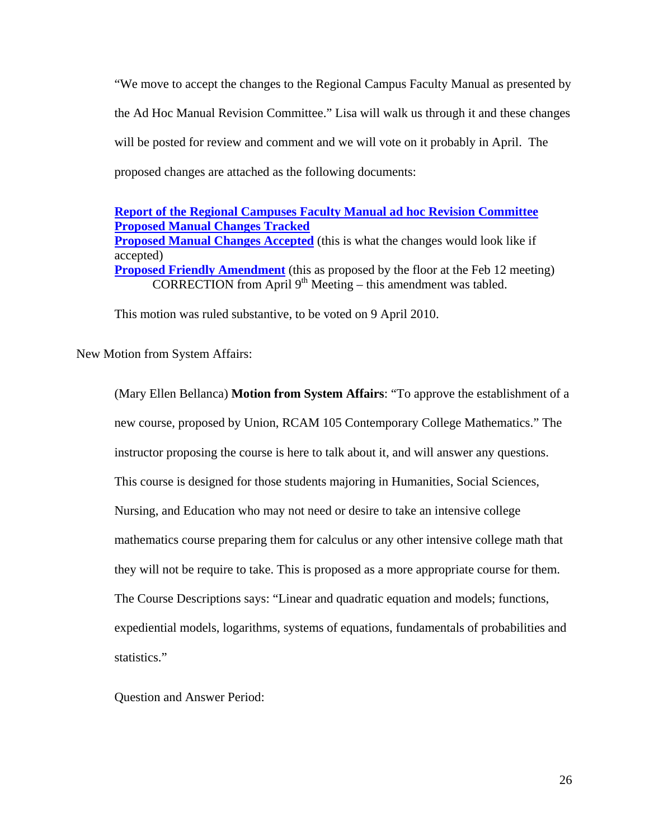"We move to accept the changes to the Regional Campus Faculty Manual as presented by the Ad Hoc Manual Revision Committee." Lisa will walk us through it and these changes will be posted for review and comment and we will vote on it probably in April. The proposed changes are attached as the following documents:

## **Report of the Regional Campuses Faculty Manual ad hoc Revision Committee Proposed Manual Changes Tracked Proposed Manual Changes Accepted** (this is what the changes would look like if accepted) **Proposed Friendly Amendment** (this as proposed by the floor at the Feb 12 meeting) CORRECTION from April  $9<sup>th</sup>$  Meeting – this amendment was tabled.

This motion was ruled substantive, to be voted on 9 April 2010.

New Motion from System Affairs:

(Mary Ellen Bellanca) **Motion from System Affairs**: "To approve the establishment of a new course, proposed by Union, RCAM 105 Contemporary College Mathematics." The instructor proposing the course is here to talk about it, and will answer any questions. This course is designed for those students majoring in Humanities, Social Sciences, Nursing, and Education who may not need or desire to take an intensive college mathematics course preparing them for calculus or any other intensive college math that they will not be require to take. This is proposed as a more appropriate course for them. The Course Descriptions says: "Linear and quadratic equation and models; functions, expediential models, logarithms, systems of equations, fundamentals of probabilities and statistics."

Question and Answer Period: